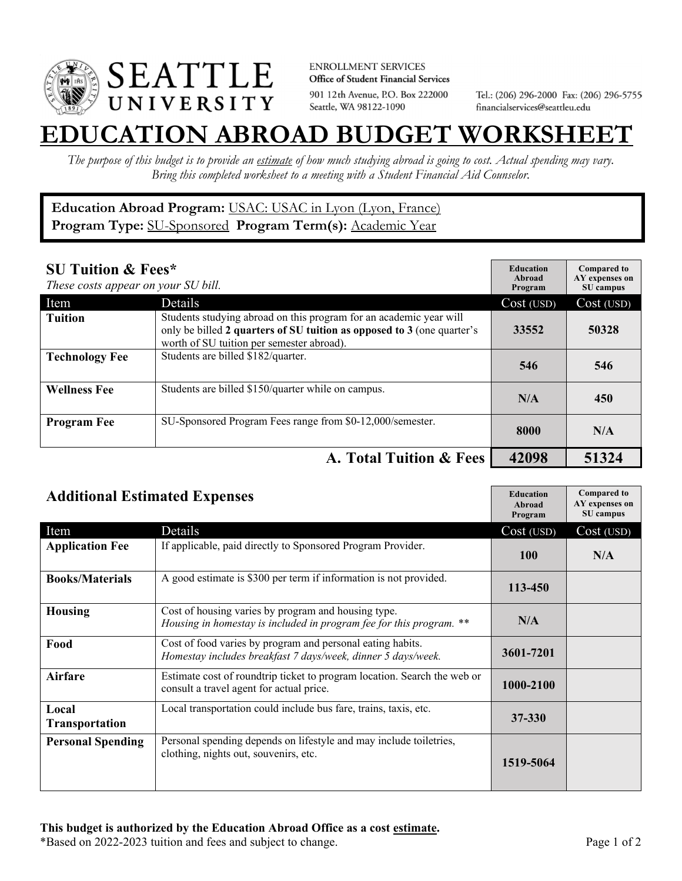

**ENROLLMENT SERVICES** Office of Student Financial Services 901 12th Avenue, P.O. Box 222000 Seattle, WA 98122-1090

Tel.: (206) 296-2000 Fax: (206) 296-5755 financialservices@seattleu.edu

## **EATION ABROAD BUDGET WORKSHEE**

*The purpose of this budget is to provide an estimate of how much studying abroad is going to cost. Actual spending may vary. Bring this completed worksheet to a meeting with a Student Financial Aid Counselor.* 

## **Education Abroad Program:** USAC: USAC in Lyon (Lyon, France) Program Type: **SU-Sponsored** Program Term(s): **Academic Year**

| <b>SU Tuition &amp; Fees*</b><br>These costs appear on your SU bill. |                                                                                                                                                                                           | <b>Education</b><br>Abroad<br>Program | <b>Compared to</b><br>AY expenses on<br>SU campus |
|----------------------------------------------------------------------|-------------------------------------------------------------------------------------------------------------------------------------------------------------------------------------------|---------------------------------------|---------------------------------------------------|
| Item                                                                 | Details                                                                                                                                                                                   | Cost (USD)                            | Cost (USD)                                        |
| <b>Tuition</b>                                                       | Students studying abroad on this program for an academic year will<br>only be billed 2 quarters of SU tuition as opposed to 3 (one quarter's<br>worth of SU tuition per semester abroad). | 33552                                 | 50328                                             |
| <b>Technology Fee</b>                                                | Students are billed \$182/quarter.                                                                                                                                                        | 546                                   | 546                                               |
| <b>Wellness Fee</b>                                                  | Students are billed \$150/quarter while on campus.                                                                                                                                        | N/A                                   | 450                                               |
| <b>Program Fee</b>                                                   | SU-Sponsored Program Fees range from \$0-12,000/semester.                                                                                                                                 | 8000                                  | N/A                                               |
|                                                                      | A. Total Tuition & Fees                                                                                                                                                                   | 42098                                 | 51324                                             |

| <b>Additional Estimated Expenses</b> |                                                                                                                            | <b>Education</b><br><b>Abroad</b><br>Program | <b>Compared to</b><br>AY expenses on<br>SU campus |
|--------------------------------------|----------------------------------------------------------------------------------------------------------------------------|----------------------------------------------|---------------------------------------------------|
| Item                                 | Details                                                                                                                    | Cost (USD)                                   | Cost (USD)                                        |
| <b>Application Fee</b>               | If applicable, paid directly to Sponsored Program Provider.                                                                | 100                                          | N/A                                               |
| <b>Books/Materials</b>               | A good estimate is \$300 per term if information is not provided.                                                          | 113-450                                      |                                                   |
| <b>Housing</b>                       | Cost of housing varies by program and housing type.<br>Housing in homestay is included in program fee for this program. ** | N/A                                          |                                                   |
| Food                                 | Cost of food varies by program and personal eating habits.<br>Homestay includes breakfast 7 days/week, dinner 5 days/week. | 3601-7201                                    |                                                   |
| Airfare                              | Estimate cost of roundtrip ticket to program location. Search the web or<br>consult a travel agent for actual price.       | 1000-2100                                    |                                                   |
| Local<br><b>Transportation</b>       | Local transportation could include bus fare, trains, taxis, etc.                                                           | 37-330                                       |                                                   |
| <b>Personal Spending</b>             | Personal spending depends on lifestyle and may include toiletries,<br>clothing, nights out, souvenirs, etc.                | 1519-5064                                    |                                                   |

\*Based on 2022-2023 tuition and fees and subject to change. Page 1 of 2